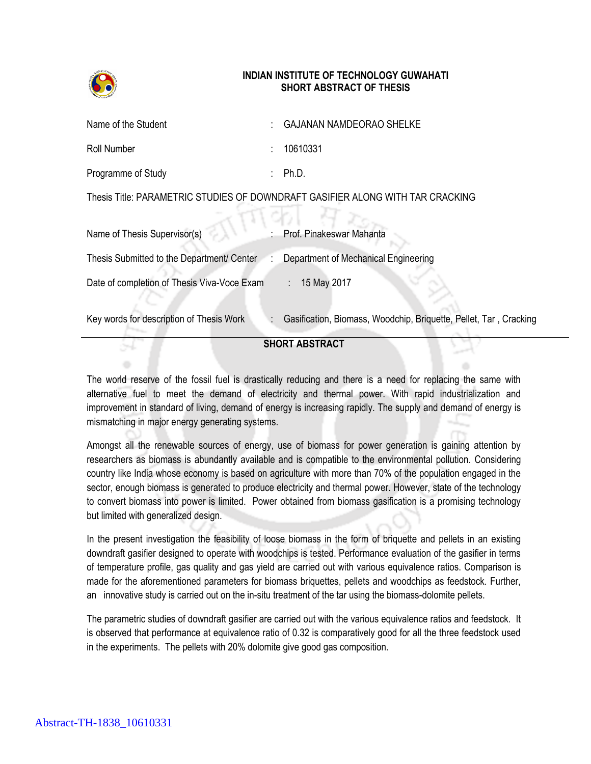

## **INDIAN INSTITUTE OF TECHNOLOGY GUWAHATI SHORT ABSTRACT OF THESIS**

| Name of the Student                                                            |  | <b>GAJANAN NAMDEORAO SHELKE</b>                                   |
|--------------------------------------------------------------------------------|--|-------------------------------------------------------------------|
| <b>Roll Number</b>                                                             |  | 10610331                                                          |
| Programme of Study                                                             |  | Ph.D.                                                             |
| Thesis Title: PARAMETRIC STUDIES OF DOWNDRAFT GASIFIER ALONG WITH TAR CRACKING |  |                                                                   |
|                                                                                |  |                                                                   |
| Name of Thesis Supervisor(s)                                                   |  | Prof. Pinakeswar Mahanta                                          |
| Thesis Submitted to the Department/ Center                                     |  | Department of Mechanical Engineering                              |
| Date of completion of Thesis Viva-Voce Exam                                    |  | 15 May 2017<br>t.                                                 |
| Key words for description of Thesis Work                                       |  | Gasification, Biomass, Woodchip, Briquette, Pellet, Tar, Cracking |

## **SHORT ABSTRACT**

The world reserve of the fossil fuel is drastically reducing and there is a need for replacing the same with alternative fuel to meet the demand of electricity and thermal power. With rapid industrialization and improvement in standard of living, demand of energy is increasing rapidly. The supply and demand of energy is mismatching in major energy generating systems.

Amongst all the renewable sources of energy, use of biomass for power generation is gaining attention by researchers as biomass is abundantly available and is compatible to the environmental pollution. Considering country like India whose economy is based on agriculture with more than 70% of the population engaged in the sector, enough biomass is generated to produce electricity and thermal power. However, state of the technology to convert biomass into power is limited. Power obtained from biomass gasification is a promising technology but limited with generalized design.

In the present investigation the feasibility of loose biomass in the form of briquette and pellets in an existing downdraft gasifier designed to operate with woodchips is tested. Performance evaluation of the gasifier in terms of temperature profile, gas quality and gas yield are carried out with various equivalence ratios. Comparison is made for the aforementioned parameters for biomass briquettes, pellets and woodchips as feedstock. Further, an innovative study is carried out on the in-situ treatment of the tar using the biomass-dolomite pellets.

The parametric studies of downdraft gasifier are carried out with the various equivalence ratios and feedstock. It is observed that performance at equivalence ratio of 0.32 is comparatively good for all the three feedstock used in the experiments. The pellets with 20% dolomite give good gas composition.